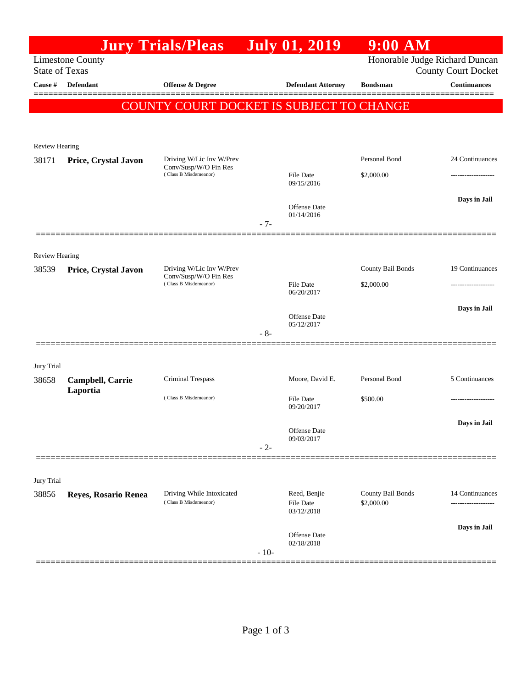|                                                  |                      | <b>Jury Trials/Pleas</b>                          |        | <b>July 01, 2019</b>              | $9:00$ AM                                                    |                     |
|--------------------------------------------------|----------------------|---------------------------------------------------|--------|-----------------------------------|--------------------------------------------------------------|---------------------|
| <b>Limestone County</b><br><b>State of Texas</b> |                      |                                                   |        |                                   | Honorable Judge Richard Duncan<br><b>County Court Docket</b> |                     |
| Cause #                                          | <b>Defendant</b>     | Offense & Degree                                  |        | <b>Defendant Attorney</b>         | <b>Bondsman</b>                                              | <b>Continuances</b> |
|                                                  |                      | COUNTY COURT DOCKET IS SUBJECT TO CHANGE          |        |                                   |                                                              |                     |
|                                                  |                      |                                                   |        |                                   |                                                              |                     |
| <b>Review Hearing</b>                            |                      |                                                   |        |                                   |                                                              |                     |
| 38171                                            | Price, Crystal Javon | Driving W/Lic Inv W/Prev                          |        |                                   | Personal Bond                                                | 24 Continuances     |
|                                                  |                      | Conv/Susp/W/O Fin Res<br>(Class B Misdemeanor)    |        | File Date                         | \$2,000.00                                                   |                     |
|                                                  |                      |                                                   |        | 09/15/2016                        |                                                              |                     |
|                                                  |                      |                                                   |        | <b>Offense</b> Date               |                                                              | Days in Jail        |
|                                                  |                      |                                                   | $-7-$  | 01/14/2016                        |                                                              |                     |
|                                                  |                      |                                                   |        |                                   |                                                              |                     |
| <b>Review Hearing</b>                            |                      |                                                   |        |                                   |                                                              |                     |
| 38539                                            | Price, Crystal Javon | Driving W/Lic Inv W/Prev<br>Conv/Susp/W/O Fin Res |        |                                   | County Bail Bonds                                            | 19 Continuances     |
|                                                  |                      | (Class B Misdemeanor)                             |        | <b>File Date</b><br>06/20/2017    | \$2,000.00                                                   |                     |
|                                                  |                      |                                                   |        |                                   |                                                              | Days in Jail        |
|                                                  |                      |                                                   |        | <b>Offense</b> Date<br>05/12/2017 |                                                              |                     |
|                                                  |                      |                                                   | $-8-$  |                                   |                                                              |                     |
|                                                  |                      |                                                   |        |                                   |                                                              |                     |
| Jury Trial<br>38658                              | Campbell, Carrie     | <b>Criminal Trespass</b>                          |        | Moore, David E.                   | Personal Bond                                                | 5 Continuances      |
|                                                  | Laportia             | (Class B Misdemeanor)                             |        | <b>File Date</b>                  | \$500.00                                                     |                     |
|                                                  |                      |                                                   |        | 09/20/2017                        |                                                              |                     |
|                                                  |                      |                                                   |        | Offense Date                      |                                                              | Days in Jail        |
|                                                  |                      |                                                   | $-2-$  | 09/03/2017                        |                                                              |                     |
|                                                  |                      |                                                   |        |                                   |                                                              |                     |
| Jury Trial                                       |                      |                                                   |        |                                   |                                                              |                     |
| 38856                                            | Reyes, Rosario Renea | Driving While Intoxicated                         |        | Reed, Benjie                      | <b>County Bail Bonds</b>                                     | 14 Continuances     |
|                                                  |                      | (Class B Misdemeanor)                             |        | <b>File Date</b><br>03/12/2018    | \$2,000.00                                                   | .                   |
|                                                  |                      |                                                   |        |                                   |                                                              | Days in Jail        |
|                                                  |                      |                                                   |        | Offense Date<br>02/18/2018        |                                                              |                     |
|                                                  |                      |                                                   | $-10-$ |                                   |                                                              |                     |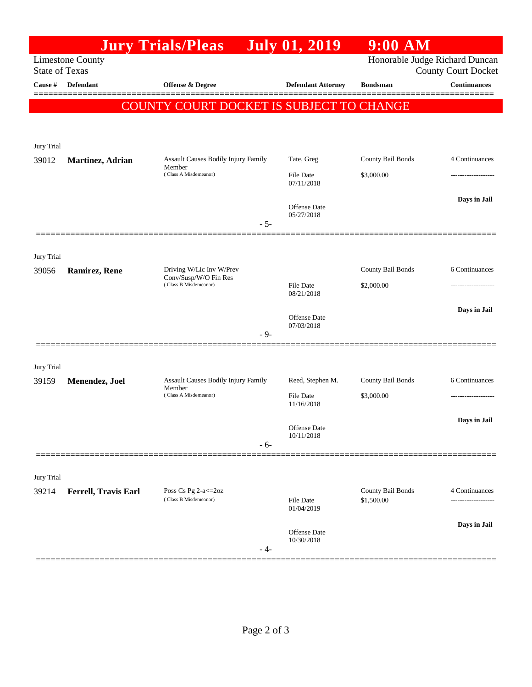|                                                  |                      | <b>Jury Trials/Pleas</b>                                               | <b>July 01, 2019</b>           | $9:00$ AM                                                    |                     |
|--------------------------------------------------|----------------------|------------------------------------------------------------------------|--------------------------------|--------------------------------------------------------------|---------------------|
| <b>Limestone County</b><br><b>State of Texas</b> |                      |                                                                        |                                | Honorable Judge Richard Duncan<br><b>County Court Docket</b> |                     |
| Cause #                                          | <b>Defendant</b>     | Offense & Degree                                                       | <b>Defendant Attorney</b>      | <b>Bondsman</b>                                              | <b>Continuances</b> |
|                                                  |                      | COUNTY COURT DOCKET IS SUBJECT TO CHANGE                               |                                |                                                              | ======              |
|                                                  |                      |                                                                        |                                |                                                              |                     |
| Jury Trial                                       |                      |                                                                        |                                |                                                              |                     |
| 39012                                            | Martinez, Adrian     | Assault Causes Bodily Injury Family<br>Member                          | Tate, Greg                     | County Bail Bonds                                            | 4 Continuances      |
|                                                  |                      | (Class A Misdemeanor)                                                  | File Date<br>07/11/2018        | \$3,000.00                                                   |                     |
|                                                  |                      |                                                                        | Offense Date                   |                                                              | Days in Jail        |
|                                                  |                      | $-5-$                                                                  | 05/27/2018                     |                                                              |                     |
|                                                  |                      |                                                                        |                                |                                                              |                     |
| Jury Trial                                       |                      |                                                                        |                                |                                                              |                     |
| 39056                                            | <b>Ramirez, Rene</b> | Driving W/Lic Inv W/Prev<br>Conv/Susp/W/O Fin Res                      |                                | County Bail Bonds                                            | 6 Continuances      |
|                                                  |                      | (Class B Misdemeanor)                                                  | File Date<br>08/21/2018        | \$2,000.00                                                   |                     |
|                                                  |                      |                                                                        | <b>Offense Date</b>            |                                                              | Days in Jail        |
|                                                  |                      | $-9-$                                                                  | 07/03/2018                     |                                                              |                     |
|                                                  |                      |                                                                        |                                |                                                              |                     |
| Jury Trial                                       | Menendez, Joel       | Assault Causes Bodily Injury Family<br>Member<br>(Class A Misdemeanor) | Reed, Stephen M.               | County Bail Bonds                                            | 6 Continuances      |
| 39159                                            |                      |                                                                        | File Date                      | \$3,000.00                                                   |                     |
|                                                  |                      |                                                                        | 11/16/2018                     |                                                              |                     |
|                                                  |                      |                                                                        | Offense Date<br>10/11/2018     |                                                              | Days in Jail        |
|                                                  |                      | $-6-$                                                                  |                                |                                                              |                     |
|                                                  |                      |                                                                        |                                |                                                              |                     |
| Jury Trial<br>39214                              | Ferrell, Travis Earl | Poss Cs Pg 2-a <= 20z                                                  |                                | County Bail Bonds                                            | 4 Continuances      |
|                                                  |                      | (Class B Misdemeanor)                                                  | <b>File Date</b><br>01/04/2019 | \$1,500.00                                                   |                     |
|                                                  |                      |                                                                        | <b>Offense Date</b>            |                                                              | Days in Jail        |
|                                                  |                      | - 4-                                                                   | 10/30/2018                     |                                                              |                     |
|                                                  |                      |                                                                        |                                |                                                              |                     |